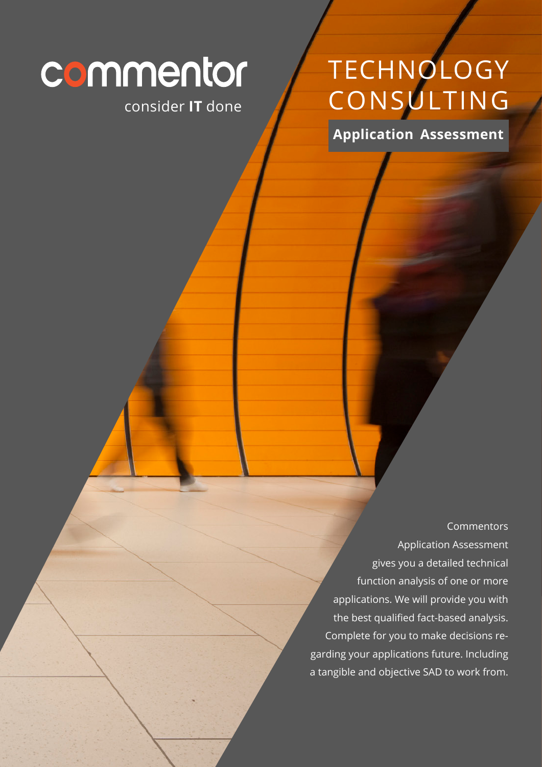# commentor

#### consider **IT** done

# TECHNOLOGY CONSULTING

**Application Assessment**

Commentors Application Assessment gives you a detailed technical function analysis of one or more applications. We will provide you with the best qualified fact-based analysis. Complete for you to make decisions regarding your applications future. Including a tangible and objective SAD to work from.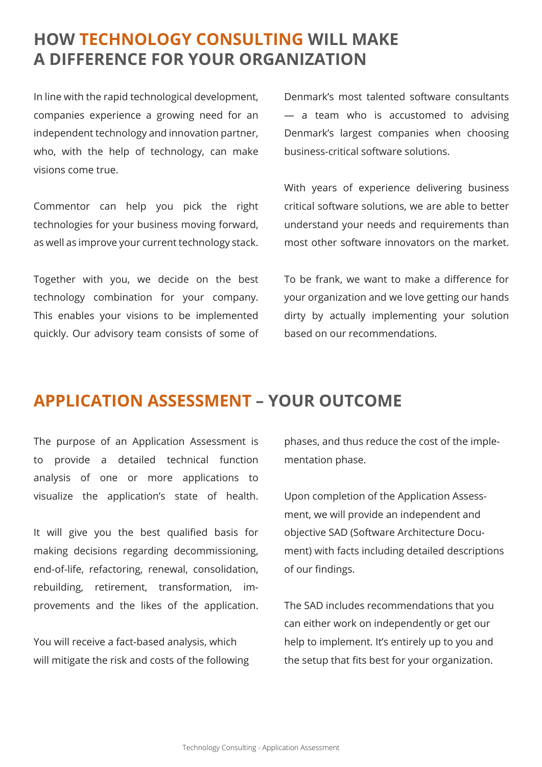#### **HOW TECHNOLOGY CONSULTING WILL MAKE A DIFFERENCE FOR YOUR ORGANIZATION**

In line with the rapid technological development, companies experience a growing need for an independent technology and innovation partner, who, with the help of technology, can make visions come true.

Commentor can help you pick the right technologies for your business moving forward, as well as improve your current technology stack.

Together with you, we decide on the best technology combination for your company. This enables your visions to be implemented quickly. Our advisory team consists of some of

Denmark's most talented software consultants — a team who is accustomed to advising Denmark's largest companies when choosing business-critical software solutions.

With years of experience delivering business critical software solutions, we are able to better understand your needs and requirements than most other software innovators on the market.

To be frank, we want to make a difference for your organization and we love getting our hands dirty by actually implementing your solution based on our recommendations.

#### **APPLICATION ASSESSMENT – YOUR OUTCOME**

The purpose of an Application Assessment is to provide a detailed technical function analysis of one or more applications to visualize the application's state of health.

It will give you the best qualified basis for making decisions regarding decommissioning, end-of-life, refactoring, renewal, consolidation, rebuilding, retirement, transformation, improvements and the likes of the application.

You will receive a fact-based analysis, which will mitigate the risk and costs of the following phases, and thus reduce the cost of the implementation phase.

Upon completion of the Application Assessment, we will provide an independent and objective SAD (Software Architecture Document) with facts including detailed descriptions of our findings.

The SAD includes recommendations that you can either work on independently or get our help to implement. It's entirely up to you and the setup that fits best for your organization.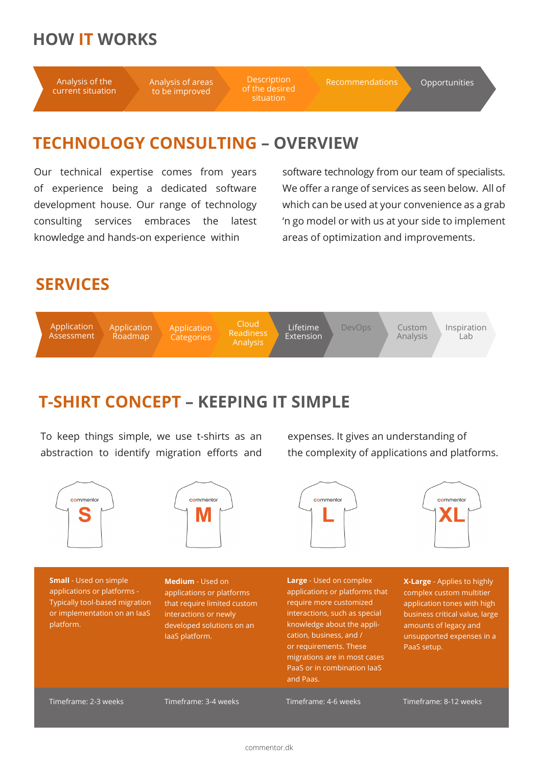#### **HOW IT WORKS**

Analysis of the current situation Analysis of areas to be improved

**Description** of the desired situation

Recommendations Opportunities

#### **TECHNOLOGY CONSULTING – OVERVIEW**

Our technical expertise comes from years of experience being a dedicated software development house. Our range of technology consulting services embraces the latest knowledge and hands-on experience within

software technology from our team of specialists. We offer a range of services as seen below. All of which can be used at your convenience as a grab 'n go model or with us at your side to implement areas of optimization and improvements.

### **SERVICES**



## **T-SHIRT CONCEPT – KEEPING IT SIMPLE**

To keep things simple, we use t-shirts as an abstraction to identify migration efforts and

commentor



the complexity of applications and platforms.

commentor

expenses. It gives an understanding of

commentor